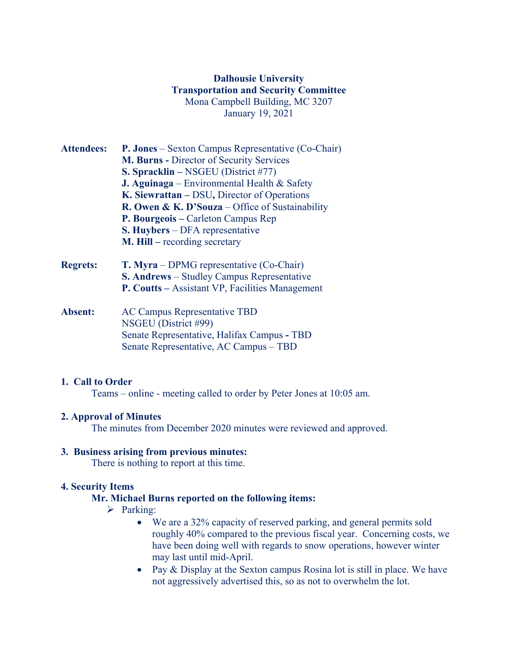## **Dalhousie University Transportation and Security Committee** Mona Campbell Building, MC 3207 January 19, 2021

- **Attendees: P. Jones** Sexton Campus Representative (Co-Chair) **M. Burns -** Director of Security Services **S. Spracklin –** NSGEU (District #77) **J. Aguinaga** – Environmental Health & Safety **K. Siewrattan –** DSU**,** Director of Operations **R. Owen & K. D'Souza** – Office of Sustainability **P. Bourgeois –** Carleton Campus Rep **S. Huybers** – DFA representative **M. Hill –** recording secretary
- **Regrets: T. Myra** DPMG representative (Co-Chair) **S. Andrews** – Studley Campus Representative **P. Coutts –** Assistant VP, Facilities Management
- **Absent:** AC Campus Representative TBD NSGEU (District #99) Senate Representative, Halifax Campus **-** TBD Senate Representative, AC Campus – TBD

#### **1. Call to Order**

Teams – online - meeting called to order by Peter Jones at 10:05 am.

### **2. Approval of Minutes**

The minutes from December 2020 minutes were reviewed and approved.

#### **3. Business arising from previous minutes:**

There is nothing to report at this time.

### **4. Security Items**

### **Mr. Michael Burns reported on the following items:**

- $\triangleright$  Parking:
	- We are a 32% capacity of reserved parking, and general permits sold roughly 40% compared to the previous fiscal year. Concerning costs, we have been doing well with regards to snow operations, however winter may last until mid-April.
	- Pay & Display at the Sexton campus Rosina lot is still in place. We have not aggressively advertised this, so as not to overwhelm the lot.